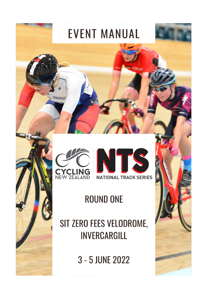



# **ROUND ONE**

SIT ZERO FEES VELODROME, INVERCARGILL

3 - 5 JUNE 2022

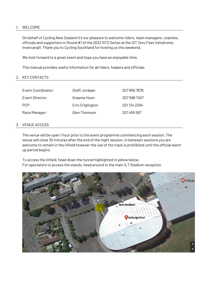# 1. WELCOME

On behalf of Cycling New Zealand it's our pleasure to welcome riders, team managers, coaches, officials and supporters to Round #1 of the 2022 NTS Series at the SIT Zero Fees Velodrome, Invercargill. Thank you to Cycling Southland for hosting us this weekend.

We look forward to a great event and hope you have an enjoyable time.

This manual provides useful information for all riders, helpers and officials.

## 2. KEY CONTACTS

| Event Coordinator: | Steff Jordaan    | 027 855 7676 |
|--------------------|------------------|--------------|
| Event Director:    | Graeme Hunn      | 027 598 7457 |
| PCP:               | Erin Criglington | 0211342294   |
| Race Manager:      | Glen Thomson     | 021455597    |

## 3. VENUE ACCESS

The venue will be open 1 hour prior to the event programme commencing each session. The venue will close 30 minutes after the end of the night session. In between sessions you are welcome to remain in the infield however the use of the track is prohibited until the official warm up period begins.

To access the infield, head down the tunnel highlighted in yellow below. For spectators to access the stands, head around to the main ILT Stadium reception.

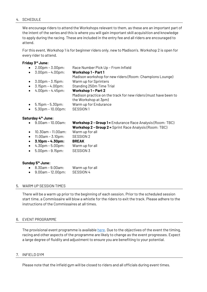## 4. SCHEDULE

We encourage riders to attend the Workshops relevant to them, as these are an important part of the intent of the series and this is where you will gain important skill acquisition and knowledge to apply during the racing. These are included in the entry fee and all riders are encouraged to attend.

For this event, Workshop 1 is for beginner riders only, new to Madison's. Workshop 2 is open for every rider to attend.

## **Friday 3 rd June:**

 2.00pm – 3.00pm: Race Number Pick Up – From Infield 3.00pm – 4.00pm: **Workshop 1 - Part 1** Madison workshop for new riders (Room: Champions Lounge) 3.00pm – 3.15pm: Warm up for Sprinters 3.15pm – 4.00pm: Standing 250m Time Trial 4.00pm – 4.45pm: **Workshop 1 – Part 2** Madison practice on the track for new riders (must have been to the Workshop at 3pm) 5.15pm – 5.30pm: Warm up for Endurance 5.30pm – 10.00pm: SESSION 1

# **Saturday 4 th June:**

- 9.00am 10.00am: **Workshop 2 - Group 1 =** Endurance Race Analysis (Room: TBC)
	- **Workshop 2 - Group 2 =** Sprint Race Analysis (Room: TBC)
- 10.30am 11.00am: Warm up for all
- 11.00am 3.10pm: SESSION 2
- **3.10pm – 4.30pm: BREAK**
- 4.30pm 5.00pm: Warm up for all
- 5.00pm 9.15pm: SESSION 3

# **Sunday 5 th June:**

- 8.30am 9.00am: Warm up for all
- 9.00am 12.00pm: SESSION 4

# 5. WARM UP SESSION TIMES

There will be a warm up prior to the beginning of each session. Prior to the scheduled session start time, a Commissaire will blow a whistle for the riders to exit the track. Please adhere to the instructions of the Commissaires at all times.

#### 6. EVENT PROGRAMME

The provisional event programme is availabl[e here.](https://www.cyclingnewzealand.nz/events-and-results/national-events/nts/#a8) Due to the objectives of the event the timing, racing and other aspects of the programme are likely to change as the event progresses. Expect a large degree of fluidity and adjustment to ensure you are benefiting to your potential.

#### 7. INFIELD GYM

Please note that the infield gym will be closed to riders and all officials during event times.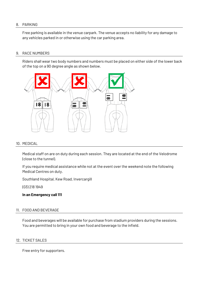# 8. PARKING

Free parking is available in the venue carpark. The venue accepts no liability for any damage to any vehicles parked in or otherwise using the car parking area.

## 9. RACE NUMBERS

Riders shall wear two body numbers and numbers must be placed on either side of the lower back of the top on a 90 degree angle as shown below.



# 10. MEDICAL

Medical staff on are on duty during each session. They are located at the end of the Velodrome (close to the tunnel).

If you require medical assistance while not at the event over the weekend note the following Medical Centres on duty.

Southland Hospital, Kew Road, Invercargill

(03) 218 1949

**In an Emergency call 111** 

# 11. FOOD AND BEVERAGE

Food and beverages will be available for purchase from stadium providers during the sessions. You are permitted to bring in your own food and beverage to the infield.

# 12. TICKET SALES

Free entry for supporters.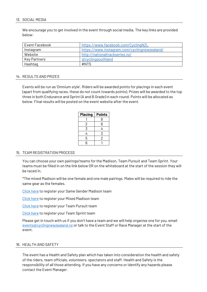# 13. SOCIAL MEDIA

We encourage you to get involved in the event through social media. The key links are provided below:

| Event Facebook | https://www.facebook.com/CyclingNZL          |
|----------------|----------------------------------------------|
| Instagram      | https://www.instagram.com/cyclingnewzealand/ |
| Website        | http://nationaltrackseries.nz/               |
| Key Partners   | @cyclingsouthland                            |
| Hashtag        | #NTS                                         |

## 14. RESULTS AND PRIZES

Events will be run as 'Omnium style'. Riders will be awarded points for placings in each event (apart from qualifying races, these do not count towards points). Prizes will be awarded to the top three in both Endurance and Sprint (A and B Grade) in each round. Points will be allocated as below. Final results will be posted on the event website after the event.

| <b>Placing</b> | <b>Points</b> |
|----------------|---------------|
|                | 8             |
| 2              | 6             |
| 3              | 4             |
| 4              | 3             |
| 5              | 2             |
| հ              |               |

# 15. TEAM REGISTRATION PROCESS

You can choose your own pairings/teams for the Madison, Team Pursuit and Team Sprint. Your teams must be filled in on the link below OR on the whiteboard at the start of the session they will be raced in.

\*The mixed Madison will be one female and one male pairings. Males will be required to ride the same gear as the females.

[Click here](https://forms.office.com/r/ULnsLLxvRP) to register your Same Gender Madison team

[Click here](https://forms.office.com/r/agVBE0TvES) to register your Mixed Madison team

[Click here](https://forms.office.com/r/gBK29Lyngv) to register your Team Pursuit team

[Click here](https://forms.office.com/r/WxEeP4B7W6) to register your Team Sprint team

Please get in touch with us if you don't have a team and we will help organise one for you, email [events@cyclingnewzealand.nz](mailto:events@cyclingnewzealand.nz) or talk to the Event Staff or Race Manager at the start of the event.

# 16. HEALTH AND SAFETY

The event has a Health and Safety plan which has taken into consideration the health and safety of the riders, team officials, volunteers, spectators and staff. Health and Safety is the responsibility of all those attending. If you have any concerns or identify any hazards please contact the Event Manager.